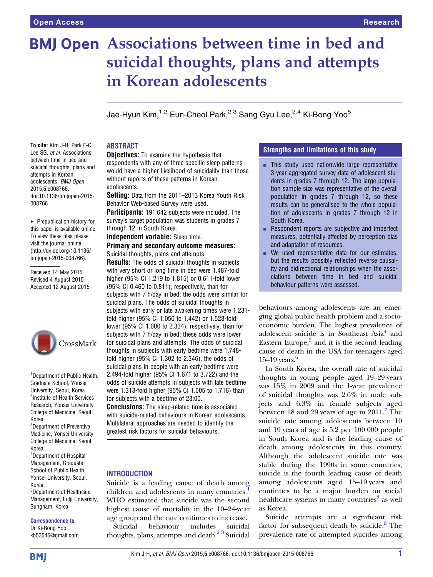# **BMJ Open Associations between time in bed and** suicidal thoughts, plans and attempts in Korean adolescents

Jae-Hyun Kim,<sup>1,2</sup> Eun-Cheol Park,<sup>2,3</sup> Sang Gyu Lee,<sup>2,4</sup> Ki-Bong Yoo<sup>5</sup>

To cite: Kim J-H, Park E-C, Lee SG, et al. Associations between time in bed and suicidal thoughts, plans and attempts in Korean adolescents. BMJ Open 2015;5:e008766. doi:10.1136/bmjopen-2015- 008766

▶ Prepublication history for this paper is available online. To view these files please visit the journal online [\(http://dx.doi.org/10.1136/](http://dx.doi.org/10.1136/bmjopen-2015-008766) [bmjopen-2015-008766](http://dx.doi.org/10.1136/bmjopen-2015-008766)).

Received 14 May 2015 Revised 4 August 2015 Accepted 12 August 2015



<sup>1</sup> Department of Public Health, Graduate School, Yonsei University, Seoul, Korea <sup>2</sup>Institute of Health Services Research, Yonsei University College of Medicine, Seoul, Korea <sup>3</sup>Department of Preventive

Medicine, Yonsei University College of Medicine, Seoul, Korea 4 Department of Hospital Management, Graduate School of Public Health, Yonsei University, Seoul, Korea 5 Department of Healthcare Management, Eulji University,

Sungnam, Korea Correspondence to

Dr Ki-Bong Yoo; kb53545@gmail.com

## ABSTRACT

**Objectives:** To examine the hypothesis that respondents with any of three specific sleep patterns would have a higher likelihood of suicidality than those without reports of these patterns in Korean adolescents.

Setting: Data from the 2011–2013 Korea Youth Risk Behavior Web-based Survey were used.

Participants: 191 642 subjects were included. The survey's target population was students in grades 7 through 12 in South Korea.

Independent variable: Sleep time.

#### Primary and secondary outcome measures: Suicidal thoughts, plans and attempts.

**Results:** The odds of suicidal thoughts in subjects with very short or long time in bed were 1.487-fold higher (95% CI 1.219 to 1.815) or 0.611-fold lower (95% CI 0.460 to 0.811), respectively, than for subjects with 7 h/day in bed; the odds were similar for suicidal plans. The odds of suicidal thoughts in subjects with early or late awakening times were 1.231 fold higher (95% CI 1.050 to 1.442) or 1.528-fold lower (95% CI 1.000 to 2.334), respectively, than for subjects with 7 h/day in bed; these odds were lower for suicidal plans and attempts. The odds of suicidal thoughts in subjects with early bedtime were 1.748 fold higher (95% CI 1.302 to 2.346), the odds of suicidal plans in people with an early bedtime were 2.494-fold higher (95% CI 1.671 to 3.722) and the odds of suicide attempts in subjects with late bedtime were 1.313-fold higher (95% CI 1.005 to 1.716) than for subjects with a bedtime of 23:00.

**Conclusions:** The sleep-related time is associated with suicide-related behaviours in Korean adolescents. Multilateral approaches are needed to identify the greatest risk factors for suicidal behaviours.

#### **INTRODUCTION**

Suicide is a leading cause of death among children and adolescents in many countries.<sup>[1](#page-7-0)</sup> WHO estimated that suicide was the second highest cause of mortality in the 10–24-year age group and the rate continues to increase.

Suicidal behaviour includes suicidal thoughts, plans, attempts and death.<sup>2</sup><sup>3</sup> Suicidal

#### Strengths and limitations of this study

- $\blacksquare$  This study used nationwide large representative 3-year aggregated survey data of adolescent students in grades 7 through 12. The large population sample size was representative of the overall population in grades 7 through 12, so these results can be generalised to the whole population of adolescents in grades 7 through 12 in South Korea.
- $\blacksquare$  Respondent reports are subjective and imperfect measures, potentially affected by perception bias and adaptation of resources.
- $\blacksquare$  We used representative data for our estimates, but the results possibly reflected reverse causality and bidirectional relationships when the associations between time in bed and suicidal behaviour patterns were assessed.

behaviours among adolescents are an emerging global public health problem and a socioeconomic burden. The highest prevalence of adolescent suicide is in Southeast Asia<sup>4</sup> and Eastern Europe, $\frac{5}{3}$  $\frac{5}{3}$  $\frac{5}{3}$  and it is the second leading cause of death in the USA for teenagers aged  $15-19$  years.<sup>6</sup>

In South Korea, the overall rate of suicidal thoughts in young people aged 19–29 years was 15% in 2009 and the 1-year prevalence of suicidal thoughts was 2.6% in male subjects and 6.3% in female subjects aged between 18 and 29 years of age in 2011.<sup>[7](#page-7-0)</sup> The suicide rate among adolescents between 10 and 19 years of age is 5.2 per 100 000 people in South Korea and is the leading cause of death among adolescents in this country. Although the adolescent suicide rate was stable during the 1990s in some countries, suicide is the fourth leading cause of death among adolescents aged 15–19 years and continues to be a major burden on social healthcare systems in many countries<sup>8</sup> as well as Korea.

Suicide attempts are a significant risk factor for subsequent death by suicide.<sup>[9](#page-7-0)</sup> The prevalence rate of attempted suicides among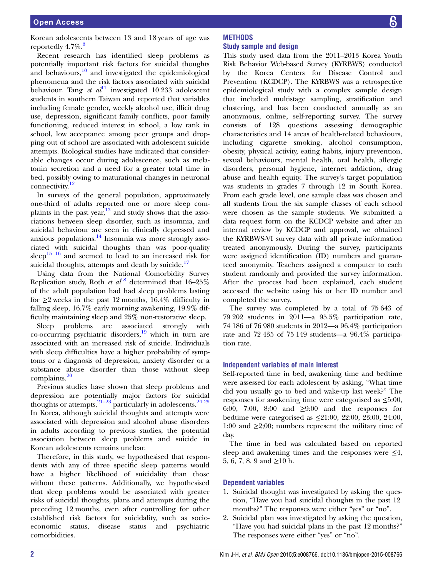Korean adolescents between 13 and 18 years of age was reportedly 4.7%.<sup>[3](#page-7-0)</sup>

Recent research has identified sleep problems as potentially important risk factors for suicidal thoughts and behaviours, $10$  and investigated the epidemiological phenomena and the risk factors associated with suicidal behaviour. Tang et  $al<sup>11</sup>$  $al<sup>11</sup>$  $al<sup>11</sup>$  investigated 10 233 adolescent students in southern Taiwan and reported that variables including female gender, weekly alcohol use, illicit drug use, depression, significant family conflicts, poor family functioning, reduced interest in school, a low rank in school, low acceptance among peer groups and dropping out of school are associated with adolescent suicide attempts. Biological studies have indicated that considerable changes occur during adolescence, such as melatonin secretion and a need for a greater total time in bed, possibly owing to maturational changes in neuronal connectivity.<sup>12</sup>

In surveys of the general population, approximately one-third of adults reported one or more sleep complaints in the past year, $13$  and study shows that the associations between sleep disorder, such as insomnia, and suicidal behaviour are seen in clinically depressed and anxious populations. $14$  Insomnia was more strongly associated with suicidal thoughts than was poor-quality sleep<sup>15</sup>  $16$  and seemed to lead to an increased risk for suicidal thoughts, attempts and death by suicide. $17$ 

Using data from the National Comorbidity Survey Replication study, Roth et  $al^{18}$  $al^{18}$  $al^{18}$  determined that 16–25% of the adult population had had sleep problems lasting for  $\geq$  weeks in the past 12 months, 16.4% difficulty in falling sleep, 16.7% early morning awakening, 19.9% difficulty maintaining sleep and 25% non-restorative sleep.

Sleep problems are associated strongly with co-occurring psychiatric disorders, $\frac{19}{19}$  $\frac{19}{19}$  $\frac{19}{19}$  which in turn are associated with an increased risk of suicide. Individuals with sleep difficulties have a higher probability of symptoms or a diagnosis of depression, anxiety disorder or a substance abuse disorder than those without sleep complaints.<sup>[20](#page-7-0)</sup>

Previous studies have shown that sleep problems and depression are potentially major factors for suicidal thoughts or attempts,  $21-23$  $21-23$  particularly in adolescents.<sup>24</sup>  $25$ In Korea, although suicidal thoughts and attempts were associated with depression and alcohol abuse disorders in adults according to previous studies, the potential association between sleep problems and suicide in Korean adolescents remains unclear.

Therefore, in this study, we hypothesised that respondents with any of three specific sleep patterns would have a higher likelihood of suicidality than those without these patterns. Additionally, we hypothesised that sleep problems would be associated with greater risks of suicidal thoughts, plans and attempts during the preceding 12 months, even after controlling for other established risk factors for suicidality, such as socioeconomic status, disease status and psychiatric comorbidities.

#### **METHODS** Study sample and design

This study used data from the 2011–2013 Korea Youth Risk Behavior Web-based Survey (KYRBWS) conducted by the Korea Centers for Disease Control and Prevention (KCDCP). The KYRBWS was a retrospective epidemiological study with a complex sample design that included multistage sampling, stratification and clustering, and has been conducted annually as an anonymous, online, self-reporting survey. The survey consists of 128 questions assessing demographic characteristics and 14 areas of health-related behaviours, including cigarette smoking, alcohol consumption, obesity, physical activity, eating habits, injury prevention, sexual behaviours, mental health, oral health, allergic disorders, personal hygiene, internet addiction, drug abuse and health equity. The survey's target population was students in grades 7 through 12 in South Korea. From each grade level, one sample class was chosen and all students from the six sample classes of each school were chosen as the sample students. We submitted a data request form on the KCDCP website and after an internal review by KCDCP and approval, we obtained the KYRBWS-VI survey data with all private information treated anonymously. During the survey, participants were assigned identification (ID) numbers and guaranteed anonymity. Teachers assigned a computer to each student randomly and provided the survey information. After the process had been explained, each student accessed the website using his or her ID number and completed the survey.

The survey was completed by a total of 75 643 of 79 202 students in 2011—a 95.5% participation rate, 74 186 of 76 980 students in 2012—a 96.4% participation rate and 72 435 of 75 149 students—a 96.4% participation rate.

#### Independent variables of main interest

Self-reported time in bed, awakening time and bedtime were assessed for each adolescent by asking, "What time did you usually go to bed and wake-up last week?" The responses for awakening time were categorised as ≤5:00, 6:00, 7:00, 8:00 and  $\geq 9:00$  and the responses for bedtime were categorised as ≤21:00, 22:00, 23:00, 24:00, 1:00 and  $\geq 2;00$ ; numbers represent the military time of day.

The time in bed was calculated based on reported sleep and awakening times and the responses were  $\leq 4$ , 5, 6, 7, 8, 9 and  $\geq 10$  h.

#### Dependent variables

- 1. Suicidal thought was investigated by asking the question, "Have you had suicidal thoughts in the past 12 months?" The responses were either "yes" or "no".
- 2. Suicidal plan was investigated by asking the question, "Have you had suicidal plans in the past 12 months?" The responses were either "yes" or "no".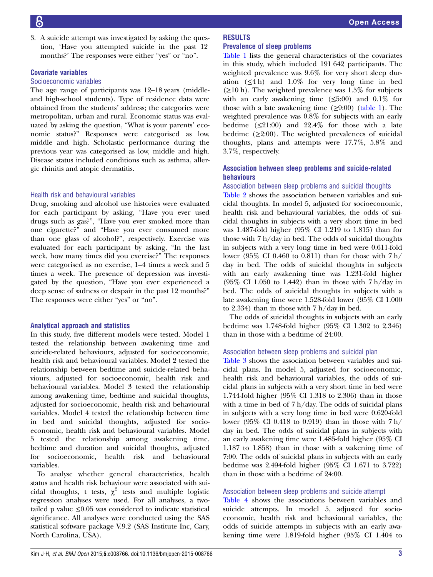3. A suicide attempt was investigated by asking the question, 'Have you attempted suicide in the past 12 months?' The responses were either "yes" or "no".

#### Covariate variables

#### Socioeconomic variables

The age range of participants was 12–18 years (middleand high-school students). Type of residence data were obtained from the students' address; the categories were metropolitan, urban and rural. Economic status was evaluated by asking the question, "What is your parents' economic status?" Responses were categorised as low, middle and high. Scholastic performance during the previous year was categorised as low, middle and high. Disease status included conditions such as asthma, allergic rhinitis and atopic dermatitis.

#### Health risk and behavioural variables

Drug, smoking and alcohol use histories were evaluated for each participant by asking, "Have you ever used drugs such as gas?", "Have you ever smoked more than one cigarette?" and "Have you ever consumed more than one glass of alcohol?", respectively. Exercise was evaluated for each participant by asking, "In the last week, how many times did you exercise?" The responses were categorised as no exercise, 1–4 times a week and 5 times a week. The presence of depression was investigated by the question, "Have you ever experienced a deep sense of sadness or despair in the past 12 months?" The responses were either "yes" or "no".

#### Analytical approach and statistics

In this study, five different models were tested. Model 1 tested the relationship between awakening time and suicide-related behaviours, adjusted for socioeconomic, health risk and behavioural variables. Model 2 tested the relationship between bedtime and suicide-related behaviours, adjusted for socioeconomic, health risk and behavioural variables. Model 3 tested the relationship among awakening time, bedtime and suicidal thoughts, adjusted for socioeconomic, health risk and behavioural variables. Model 4 tested the relationship between time in bed and suicidal thoughts, adjusted for socioeconomic, health risk and behavioural variables. Model 5 tested the relationship among awakening time, bedtime and duration and suicidal thoughts, adjusted for socioeconomic, health risk and behavioural variables.

To analyse whether general characteristics, health status and health risk behaviour were associated with suicidal thoughts, t tests,  $\chi^2$  tests and multiple logistic regression analyses were used. For all analyses, a twotailed p value  $\leq 0.05$  was considered to indicate statistical significance. All analyses were conducted using the SAS statistical software package V.9.2 (SAS Institute Inc, Cary, North Carolina, USA).

#### RESULTS Prevalence of sleep problems

[Table 1](#page-3-0) lists the general characteristics of the covariates in this study, which included 191 642 participants. The weighted prevalence was 9.6% for very short sleep duration  $(≤4 h)$  and 1.0% for very long time in bed  $(\geq 10 \text{ h})$ . The weighted prevalence was 1.5% for subjects with an early awakening time  $(\leq 5:00)$  and  $0.1\%$  for those with a late awakening time  $(\geq 9:00)$  ([table 1](#page-3-0)). The weighted prevalence was 0.8% for subjects with an early bedtime  $(\leq 21:00)$  and  $22.4\%$  for those with a late bedtime  $(\geq 2:00)$ . The weighted prevalences of suicidal thoughts, plans and attempts were 17.7%, 5.8% and 3.7%, respectively.

#### Association between sleep problems and suicide-related behaviours

Association between sleep problems and suicidal thoughts [Table 2](#page-5-0) shows the association between variables and suicidal thoughts. In model 5, adjusted for socioeconomic, health risk and behavioural variables, the odds of suicidal thoughts in subjects with a very short time in bed was 1.487-fold higher (95% CI 1.219 to 1.815) than for those with 7 h/day in bed. The odds of suicidal thoughts in subjects with a very long time in bed were 0.611-fold lower (95% CI 0.460 to 0.811) than for those with 7 h/ day in bed. The odds of suicidal thoughts in subjects with an early awakening time was 1.231-fold higher  $(95\% \text{ CI } 1.050 \text{ to } 1.442)$  than in those with  $7 \text{ h/day}$  in bed. The odds of suicidal thoughts in subjects with a late awakening time were 1.528-fold lower (95% CI 1.000 to 2.334) than in those with 7 h/day in bed.

The odds of suicidal thoughts in subjects with an early bedtime was 1.748-fold higher (95% CI 1.302 to 2.346) than in those with a bedtime of 24:00.

#### Association between sleep problems and suicidal plan

[Table 3](#page-5-0) shows the association between variables and suicidal plans. In model 5, adjusted for socioeconomic, health risk and behavioural variables, the odds of suicidal plans in subjects with a very short time in bed were 1.744-fold higher (95% CI 1.318 to 2.306) than in those with a time in bed of 7 h/day. The odds of suicidal plans in subjects with a very long time in bed were 0.620-fold lower (95% CI 0.418 to 0.919) than in those with 7 h/ day in bed. The odds of suicidal plans in subjects with an early awakening time were 1.485-fold higher (95% CI 1.187 to 1.858) than in those with a wakening time of 7:00. The odds of suicidal plans in subjects with an early bedtime was 2.494-fold higher (95% CI 1.671 to 3.722) than in those with a bedtime of 24:00.

#### Association between sleep problems and suicide attempt

[Table 4](#page-6-0) shows the associations between variables and suicide attempts. In model 5, adjusted for socioeconomic, health risk and behavioural variables, the odds of suicide attempts in subjects with an early awakening time were 1.819-fold higher (95% CI 1.404 to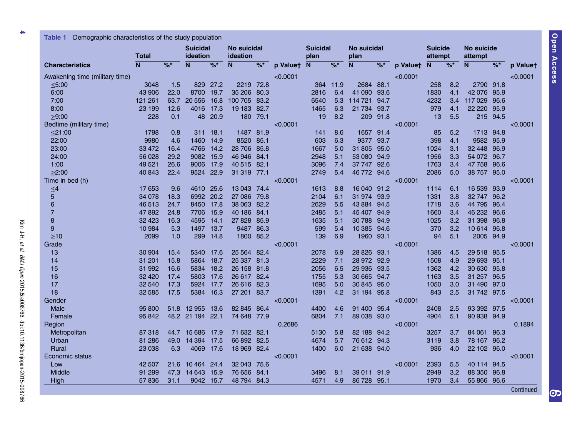<span id="page-3-0"></span>

|                                | <b>Total</b>            |                 | <b>Suicidal</b><br>ideation |                     | <b>No suicidal</b><br>ideation |                          |            | <b>Suicidal</b><br>plan |                 | <b>No suicidal</b><br>plan |                 |            | <b>Suicide</b><br>attempt |       | <b>No suicide</b><br>attempt |                     |          |
|--------------------------------|-------------------------|-----------------|-----------------------------|---------------------|--------------------------------|--------------------------|------------|-------------------------|-----------------|----------------------------|-----------------|------------|---------------------------|-------|------------------------------|---------------------|----------|
| <b>Characteristics</b>         | $\overline{\mathsf{N}}$ | $\overline{\%}$ | N                           | $\overline{\%^{*}}$ | $\mathsf{N}$                   | $\overline{\frac{9}{6}}$ | p Valuet N |                         | $\overline{\%}$ | $\overline{\mathsf{N}}$    | $\overline{\%}$ | p Valuet N |                           | $%$ * | N                            | $\overline{\%^{*}}$ | p Valuet |
| Awakening time (military time) |                         |                 |                             |                     |                                |                          | < 0.0001   |                         |                 |                            |                 | < 0.0001   |                           |       |                              |                     | < 0.0001 |
| $≤5:00$                        | 3048                    | 1.5             | 829                         | 27.2                | 2219                           | 72.8                     |            | 364                     | 11.9            | 2684                       | 88.1            |            | 258                       | 8.2   | 2790                         | 91.8                |          |
| 6:00                           | 43 906                  | 22.0            | 8700                        | 19.7                | 35 206                         | 80.3                     |            | 2816                    | 6.4             | 41 090                     | 93.6            |            | 1830                      | 4.1   | 42076                        | 95.9                |          |
| 7:00                           | 121 261                 | 63.7            | 20 556                      | 16.8                | 100 705                        | 83.2                     |            | 6540                    | 5.3             | 114721                     | 94.7            |            | 4232                      | 3.4   | 117029                       | 96.6                |          |
| 8:00                           | 23 199                  | 12.6            | 4016                        | 17.3                | 19 183                         | 82.7                     |            | 1465                    | 6.3             | 21 734                     | 93.7            |            | 979                       | 4.1   | 22 2 20                      | 95.9                |          |
| >9:00                          | 228                     | 0.1             | 48                          | 20.9                |                                | 180 79.1                 |            | 19                      | 8.2             |                            | 209 91.8        |            | 13                        | 5.5   |                              | 215 94.5            |          |
| Bedtime (military time)        |                         |                 |                             |                     |                                |                          | < 0.0001   |                         |                 |                            |                 | < 0.0001   |                           |       |                              |                     | < 0.0001 |
| $<$ 21:00                      | 1798                    | 0.8             | 311                         | 18.1                | 1487                           | 81.9                     |            | 141                     | 8.6             | 1657                       | 91.4            |            | 85                        | 5.2   | 1713 94.8                    |                     |          |
| 22:00                          | 9980                    | 4.6             | 1460                        | 14.9                | 8520                           | 85.1                     |            | 603                     | 6.3             | 9377                       | 93.7            |            | 398                       | 4.1   | 9582 95.9                    |                     |          |
| 23:00                          | 33 472                  | 16.4            | 4766                        | 14.2                | 28 706                         | 85.8                     |            | 1667                    | 5.0             | 31 805                     | 95.0            |            | 1024                      | 3.1   | 32 448                       | 96.9                |          |
| 24:00                          | 56 028                  | 29.2            | 9082                        | 15.9                | 46 946                         | 84.1                     |            | 2948                    | 5.1             | 53 080                     | 94.9            |            | 1956                      | 3.3   | 54 072                       | 96.7                |          |
| 1:00                           | 49 5 21                 | 26.6            | 9006                        | 17.9                | 40 515                         | 82.1                     |            | 3096                    | 7.4             | 37 747 92.6                |                 |            | 1763                      | 3.4   | 47 758                       | 96.6                |          |
| $\geq$ 2:00                    | 40 843                  | 22.4            | 9524 22.9                   |                     | 31 319 77.1                    |                          |            | 2749                    | 5.4             | 46 772 94.6                |                 |            | 2086                      | 5.0   | 38 757 95.0                  |                     |          |
| Time in bed (h)                |                         |                 |                             |                     |                                |                          | < 0.0001   |                         |                 |                            |                 | < 0.0001   |                           |       |                              |                     | < 0.0001 |
| $\leq4$                        | 17653                   | 9.6             | 4610 25.6                   |                     | 13 043 74.4                    |                          |            | 1613                    | 8.8             | 16 040 91.2                |                 |            | 1114                      | 6.1   | 16 539                       | 93.9                |          |
| 5                              | 34 078                  | 18.3            |                             | 6992 20.2           | 27 086                         | 79.8                     |            | 2104                    | 6.1             | 31 974                     | 93.9            |            | 1331                      | 3.8   | 32747                        | 96.2                |          |
| 6                              | 46 513                  | 24.7            | 8450                        | 17.8                | 38 063                         | 82.2                     |            | 2629                    | 5.5             | 43 8 84                    | 94.5            |            | 1718                      | 3.6   | 44 795                       | 96.4                |          |
| $\overline{7}$                 | 47892                   | 24.8            | 7706                        | 15.9                | 40 186                         | 84.1                     |            | 2485                    | 5.1             | 45 407 94.9                |                 |            | 1660                      | 3.4   | 46 232 96.6                  |                     |          |
| 8                              | 32 4 23                 | 16.3            | 4595                        | 14.1                | 27828                          | 85.9                     |            | 1635                    | 5.1             | 30788                      | 94.9            |            | 1025                      | 3.2   | 31 398                       | 96.8                |          |
| $\boldsymbol{9}$               | 10 984                  | 5.3             | 1497                        | 13.7                | 9487                           | 86.3                     |            | 599                     | 5.4             | 10 385                     | 94.6            |            | 370                       | 3.2   | 10 614                       | 96.8                |          |
| $\geq 10$                      | 2099                    | 1.0             | 299                         | 14.8                | 1800 85.2                      |                          |            | 139                     | 6.9             | 1960 93.1                  |                 |            | 94                        | 5.1   |                              | 2005 94.9           |          |
| Grade                          |                         |                 |                             |                     |                                |                          | < 0.0001   |                         |                 |                            |                 | < 0.0001   |                           |       |                              |                     | < 0.0001 |
| 13                             | 30 904                  | 15.4            | 5340                        | 17.6                | 25 5 64                        | 82.4                     |            | 2078                    | 6.9             | 28 826 93.1                |                 |            | 1386                      | 4.5   | 29518                        | 95.5                |          |
| 14                             | 31 201                  | 15.8            | 5864                        | 18.7                | 25 337 81.3                    |                          |            | 2229                    | 7.1             | 28 972 92.9                |                 |            | 1508                      | 4.9   | 29 693                       | 95.1                |          |
| 15                             | 31 992                  | 16.6            | 5834                        | 18.2                | 26 158                         | 81.8                     |            | 2056                    | 6.5             | 29 936                     | 93.5            |            | 1362                      | 4.2   | 30 630                       | 95.8                |          |
| 16                             | 32 4 20                 | 17.4            | 5803                        | 17.6                | 26 617                         | 82.4                     |            | 1755                    | 5.3             | 30 665                     | 94.7            |            | 1163                      | 3.5   | 31 257                       | 96.5                |          |
| 17                             | 32 540                  | 17.3            | 5924                        | 17.7                | 26 616 82.3                    |                          |            | 1695                    | 5.0             | 30 845 95.0                |                 |            | 1050                      | 3.0   | 31 490 97.0                  |                     |          |
| 18                             | 32 585                  | 17.5            | 5384                        | 16.3                | 27 201                         | 83.7                     |            | 1391                    | 4.2             | 31 194 95.8                |                 |            | 843                       | 2.5   | 31 742 97.5                  |                     |          |
| Gender                         |                         |                 |                             |                     |                                |                          | < 0.0001   |                         |                 |                            |                 | < 0.0001   |                           |       |                              |                     | < 0.0001 |
| Male                           | 95 800                  | 51.8            | 12955                       | 13.6                | 82 845                         | 86.4                     |            | 4400                    | 4.6             | 91 400 95.4                |                 |            | 2408                      | 2.5   | 93 392 97.5                  |                     |          |
| Female                         | 95 842                  |                 | 48.2 21 194 22.1            |                     | 74 648                         | 77.9                     |            | 6804                    | 7.1             | 89 038 93.0                |                 |            | 4904                      | 5.1   | 90 938 94.9                  |                     |          |
| Region                         |                         |                 |                             |                     |                                |                          | 0.2686     |                         |                 |                            |                 | < 0.0001   |                           |       |                              |                     | 0.1894   |
| Metropolitan                   | 87318                   | 44.7            | 15 686 17.9                 |                     | 71 632 82.1                    |                          |            | 5130                    | 5.8             | 82 188 94.2                |                 |            | 3257                      | 3.7   | 84 061                       | 96.3                |          |
| Urban                          | 81 286                  | 49.0            | 14 3 94                     | 17.5                | 66 892 82.5                    |                          |            | 4674                    | 5.7             | 76 612 94.3                |                 |            | 3119                      | 3.8   | 78 167                       | 96.2                |          |
| Rural                          | 23 038                  | 6.3             | 4069                        | 17.6                | 18 9 69                        | 82.4                     |            | 1400                    | 6.0             | 21 638 94.0                |                 |            | 936                       | 4.0   | 22 102 96.0                  |                     |          |
| Economic status                |                         |                 |                             |                     |                                |                          | < 0.0001   |                         |                 |                            |                 |            |                           |       |                              |                     | < 0.0001 |
| Low                            | 42 507                  | 21.6            | 10 464 24.4                 |                     | 32 043                         | 75.6                     |            |                         |                 |                            |                 | < 0.0001   | 2393                      | 5.5   | 40 114                       | 94.5                |          |
| Middle                         | 91 299                  | 47.3            | 14 6 43                     | 15.9                | 76 656                         | 84.1                     |            | 3496                    | 8.1             | 39 011 91.9                |                 |            | 2949                      | 3.2   | 88 350                       | 96.8                |          |
| High                           | 57836                   | 31.1            | 9042                        | 15.7                | 48 794                         | 84.3                     |            | 4571                    | 4.9             | 86 728 95.1                |                 |            | 1970                      | 3.4   | 55 866 96.6                  |                     |          |

Open Access Open Access

စာ $\overline{\mathbf{C}}$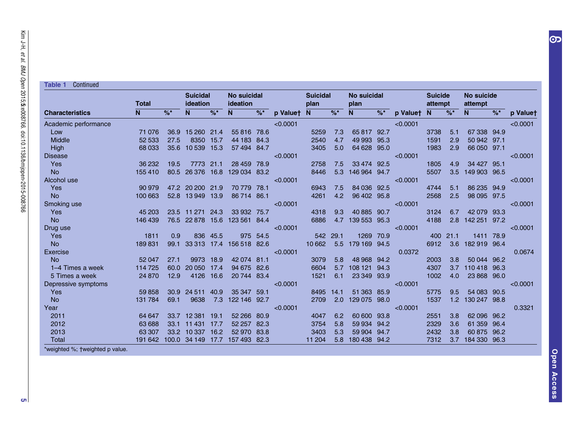#### Table 1 Continued

|                                 | <b>Total</b> |               | <b>Suicidal</b><br>ideation |               | <b>No suicidal</b><br><b>ideation</b> |          |            | <b>Suicidal</b><br>plan |                 | No suicidal<br>plan |               |            | <b>Suicide</b><br>attempt |                 | No suicide<br>attempt |               |          |
|---------------------------------|--------------|---------------|-----------------------------|---------------|---------------------------------------|----------|------------|-------------------------|-----------------|---------------------|---------------|------------|---------------------------|-----------------|-----------------------|---------------|----------|
| <b>Characteristics</b>          | N            | $\frac{9}{6}$ | N                           | $\frac{9}{6}$ | N.                                    | $\%$ *   | p Valuet N |                         | $\frac{9}{6}$ * | N                   | $\frac{9}{6}$ | p Valuet N |                           | $\frac{9}{6}$ * | N                     | $\frac{9}{6}$ | p Valuet |
| Academic performance            |              |               |                             |               |                                       |          | < 0.0001   |                         |                 |                     |               | < 0.0001   |                           |                 |                       |               | < 0.0001 |
| Low                             | 71 0 76      | 36.9          | 15 260 21.4                 |               | 55 816                                | 78.6     |            | 5259                    | 7.3             | 65 817              | 92.7          |            | 3738                      | 5.1             | 67 338 94.9           |               |          |
| <b>Middle</b>                   | 52 533       | 27.5          | 8350                        | 15.7          | 44 183                                | 84.3     |            | 2540                    | 4.7             | 49 993              | 95.3          |            | 1591                      | 2.9             | 50 942                | 97.1          |          |
| High                            | 68 033       | 35.6          | 10539                       | 15.3          | 57 494                                | 84.7     |            | 3405                    | 5.0             | 64 628              | 95.0          |            | 1983                      | 2.9             | 66 050 97.1           |               |          |
| <b>Disease</b>                  |              |               |                             |               |                                       |          | < 0.0001   |                         |                 |                     |               | < 0.0001   |                           |                 |                       |               | < 0.0001 |
| Yes                             | 36 232       | 19.5          | 7773                        | 21.1          | 28 459                                | 78.9     |            | 2758                    | 7.5             | 33 4 74             | 92.5          |            | 1805                      | 4.9             | 34 427 95.1           |               |          |
| <b>No</b>                       | 155 410      | 80.5          | 26 376                      | 16.8          | 129 034                               | 83.2     |            | 8446                    | 5.3             | 146 964             | 94.7          |            | 5507                      | 3.5             | 149 903               | 96.5          |          |
| Alcohol use                     |              |               |                             |               |                                       |          | < 0.0001   |                         |                 |                     |               | < 0.0001   |                           |                 |                       |               | < 0.0001 |
| Yes                             | 90 979       |               | 47.2 20 200 21.9            |               | 70 779                                | 78.1     |            | 6943                    | 7.5             | 84 036              | 92.5          |            | 4744                      | 5.1             | 86 235                | 94.9          |          |
| <b>No</b>                       | 100 663      | 52.8          | 13949                       | 13.9          | 86714                                 | 86.1     |            | 4261                    | 4.2             | 96 402              | 95.8          |            | 2568                      | 2.5             | 98 095 97.5           |               |          |
| Smoking use                     |              |               |                             |               |                                       |          | < 0.0001   |                         |                 |                     |               | < 0.0001   |                           |                 |                       |               | < 0.0001 |
| Yes                             | 45 203       | 23.5          | 11 271                      | 24.3          | 33 932                                | 75.7     |            | 4318                    | 9.3             | 40 885              | 90.7          |            | 3124                      | 6.7             | 42079                 | 93.3          |          |
| <b>No</b>                       | 146 439      |               | 76.5 22 878                 | 15.6          | 123 561 84.4                          |          |            | 6886                    | 4.7             | 139 553             | 95.3          |            | 4188                      | 2.8             | 142 251 97.2          |               |          |
| Drug use                        |              |               |                             |               |                                       |          | < 0.0001   |                         |                 |                     |               | < 0.0001   |                           |                 |                       |               | < 0.0001 |
| Yes                             | 1811         | 0.9           | 836                         | 45.5          |                                       | 975 54.5 |            |                         | 542 29.1        | 1269                | 70.9          |            | 400                       | 21.1            | 1411                  | 78.9          |          |
| <b>No</b>                       | 189831       | 99.1          | 33 31 3                     | 17.4          | 156 518                               | 82.6     |            | 10 662                  | 5.5             | 179 169             | 94.5          |            | 6912                      | 3.6             | 182 919 96.4          |               |          |
| Exercise                        |              |               |                             |               |                                       |          | < 0.0001   |                         |                 |                     |               | 0.0372     |                           |                 |                       |               | 0.0674   |
| <b>No</b>                       | 52 047       | 27.1          | 9973                        | 18.9          | 42 0 74                               | 81.1     |            | 3079                    | 5.8             | 48 968              | 94.2          |            | 2003                      | 3.8             | 50 044 96.2           |               |          |
| 1–4 Times a week                | 114725       | 60.0          | 20 050                      | 17.4          | 94 675                                | 82.6     |            | 6604                    | 5.7             | 108 121             | 94.3          |            | 4307                      | 3.7             | 110418                | 96.3          |          |
| 5 Times a week                  | 24 870       | 12.9          | 4126                        | 16.6          | 20744                                 | 83.4     |            | 1521                    | 6.1             | 23 349              | 93.9          |            | 1002                      | 4.0             | 23 868 96.0           |               |          |
| Depressive symptoms             |              |               |                             |               |                                       |          | < 0.0001   |                         |                 |                     |               | < 0.0001   |                           |                 |                       |               | < 0.0001 |
| Yes                             | 59858        |               | 30.9 24 511                 | 40.9          | 35 347                                | 59.1     |            | 8495                    | 14.1            | 51 363              | 85.9          |            | 5775                      | 9.5             | 54 083 90.5           |               |          |
| <b>No</b>                       | 131 784      | 69.1          | 9638                        | 7.3           | 122 146                               | 92.7     |            | 2709                    | 2.0             | 129 075             | 98.0          |            | 1537                      | 1.2             | 130 247 98.8          |               |          |
| Year                            |              |               |                             |               |                                       |          | < 0.0001   |                         |                 |                     |               | < 0.0001   |                           |                 |                       |               | 0.3321   |
| 2011                            | 64 647       | 33.7          | 12 3 8 1                    | 19.1          | 52 266                                | 80.9     |            | 4047                    | 6.2             | 60 600              | 93.8          |            | 2551                      | 3.8             | 62 096 96.2           |               |          |
| 2012                            | 63 688       | 33.1          | 11 4 31                     | 17.7          | 52 257                                | 82.3     |            | 3754                    | 5.8             | 59 934              | 94.2          |            | 2329                      | 3.6             | 61 359                | 96.4          |          |
| 2013                            | 63 307       | 33.2          | 10 3 37                     | 16.2          | 52 970                                | 83.8     |            | 3403                    | 5.3             | 59 904              | 94.7          |            | 2432                      | 3.8             | 60 875                | 96.2          |          |
| Total                           | 191 642      |               | 100.0 34 149                | 17.7          | 157493                                | 82.3     |            | 11 204                  | 5.8             | 180 438             | 94.2          |            | 7312                      | 3.7             | 184 330 96.3          |               |          |
| *weighted %; †weighted p value. |              |               |                             |               |                                       |          |            |                         |                 |                     |               |            |                           |                 |                       |               |          |

တ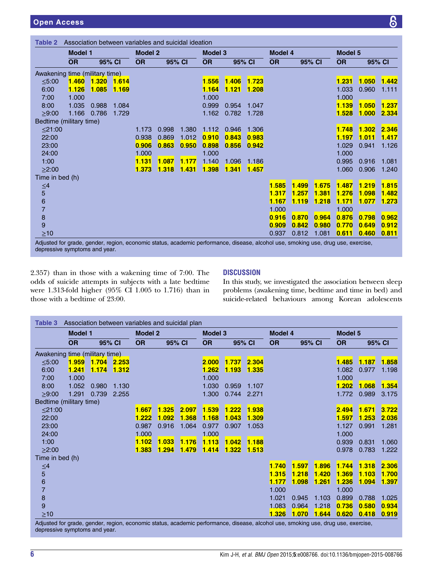<span id="page-5-0"></span>

|                                |           | <b>Model 1</b> |       |           | <b>Model 2</b> |        |           | Model 3      |        | Model 4             |       |              | <b>Model 5</b> |       |        |
|--------------------------------|-----------|----------------|-------|-----------|----------------|--------|-----------|--------------|--------|---------------------|-------|--------------|----------------|-------|--------|
|                                | <b>OR</b> | 95% CI         |       | <b>OR</b> |                | 95% CI | <b>OR</b> |              | 95% CI | <b>OR</b><br>95% CI |       |              | <b>OR</b>      |       | 95% CI |
| Awakening time (military time) |           |                |       |           |                |        |           |              |        |                     |       |              |                |       |        |
| < 5:00                         | 1.460     | 1.320          | 1.614 |           |                |        | 1.556     | 1.406        | 1.723  |                     |       |              | 1.231          | 1.050 | 1.442  |
| 6:00                           | 1.126     | 1.085          | 1.169 |           |                |        | 1.164     | <b>1.121</b> | 1.208  |                     |       |              | 1.033          | 0.960 | 1.111  |
| 7:00                           | 1.000     |                |       |           |                |        | 1.000     |              |        |                     |       |              | 1.000          |       |        |
| 8:00                           | 1.035     | 0.988          | 1.084 |           |                |        | 0.999     | 0.954        | 1.047  |                     |       |              | 1.139          | 1.050 | 1.237  |
| >9:00                          | 1.166     | 0.786          | 1.729 |           |                |        | 1.162     | 0.782        | 1.728  |                     |       |              | 1.528          | 1.000 | 2.334  |
| Bedtime (military time)        |           |                |       |           |                |        |           |              |        |                     |       |              |                |       |        |
| $<$ 21:00                      |           |                |       | 1.173     | 0.998          | 1.380  | 1.112     | 0.946        | 1.306  |                     |       |              | 1.748          | 1.302 | 2.346  |
| 22:00                          |           |                |       | 0.938     | 0.869          | 1.012  | 0.910     | 0.843        | 0.983  |                     |       |              | 1.197          | 1.011 | 1.417  |
| 23:00                          |           |                |       | 0.906     | 0.863          | 0.950  | 0.898     | 0.856        | 0.942  |                     |       |              | 1.029          | 0.941 | 1.126  |
| 24:00                          |           |                |       | 1.000     |                |        | 1.000     |              |        |                     |       |              | 1.000          |       |        |
| 1:00                           |           |                |       | 1.131     | 1.087          | 1.177  | 1.140     | 1.096        | 1.186  |                     |       |              | 0.995          | 0.916 | 1.081  |
| >2:00                          |           |                |       | 1.373     | 1.318          | 1.431  | 1.398     | 1.341        | 1.457  |                     |       |              | 1.060          | 0.906 | 1.240  |
| Time in bed (h)                |           |                |       |           |                |        |           |              |        |                     |       |              |                |       |        |
| $\leq4$                        |           |                |       |           |                |        |           |              |        | 1.585               | 1.499 | 1.675        | 1.487          | 1.219 | 1.815  |
| 5                              |           |                |       |           |                |        |           |              |        | 1.317               | 1.257 | 1.381        | 1.276          | 1.098 | 1.482  |
| 6                              |           |                |       |           |                |        |           |              |        | 1.167               | 1.119 | <b>1.218</b> | 1.171          | 1.077 | 1.273  |
| $\overline{7}$                 |           |                |       |           |                |        |           |              |        | 1.000               |       |              | 1.000          |       |        |
| 8                              |           |                |       |           |                |        |           |              |        | 0.916               | 0.870 | 0.964        | 0.876          | 0.798 | 0.962  |
| 9                              |           |                |       |           |                |        |           |              |        | 0.909               | 0.842 | 0.980        | 0.770          | 0.649 | 0.912  |
| $\geq 10$                      |           |                |       |           |                |        |           |              |        | 0.937               | 0.812 | 1.081        | 0.611          | 0.460 | 0.811  |

Adjusted for grade, gender, region, economic status, academic performance, disease, alcohol use, smoking use, drug use, exercise, depressive symptoms and year.

2.357) than in those with a wakening time of 7:00. The odds of suicide attempts in subjects with a late bedtime were 1.313-fold higher (95% CI 1.005 to 1.716) than in those with a bedtime of 23:00.

### **DISCUSSION**

In this study, we investigated the association between sleep problems (awakening time, bedtime and time in bed) and suicide-related behaviours among Korean adolescents

| Table 3                               | Association between variables and suicidal plan |       |              |                |       |        |                |        |              |           |        |              |                |       |        |
|---------------------------------------|-------------------------------------------------|-------|--------------|----------------|-------|--------|----------------|--------|--------------|-----------|--------|--------------|----------------|-------|--------|
|                                       | <b>Model 1</b>                                  |       |              | <b>Model 2</b> |       |        | <b>Model 3</b> |        |              | Model 4   |        |              | <b>Model 5</b> |       |        |
|                                       | <b>OR</b>                                       |       | 95% CI       | <b>OR</b>      |       | 95% CI | <b>OR</b>      | 95% CI |              | <b>OR</b> | 95% CI |              | <b>OR</b>      |       | 95% CI |
| Awakening time (military time)        |                                                 |       |              |                |       |        |                |        |              |           |        |              |                |       |        |
| < 5:00                                | 1.959                                           |       | 1.704 2.253  |                |       |        | 2.000          | 1.737  | 2.304        |           |        |              | 1.485          | 1.187 | 1.858  |
| 6:00                                  | 1.241                                           | 1.174 | <u>1.312</u> |                |       |        | 1.262          | 1.193  | <b>1.335</b> |           |        |              | 1.082          | 0.977 | 1.198  |
| 7:00                                  | 1.000                                           |       |              |                |       |        | 1.000          |        |              |           |        |              | 1.000          |       |        |
| 8:00                                  | 1.052                                           | 0.980 | 1.130        |                |       |        | 1.030          | 0.959  | 1.107        |           |        |              | 1.202          | 1.068 | 1.354  |
| >9:00                                 | 1.291                                           | 0.739 | 2.255        |                |       |        | 1.300          | 0.744  | 2.271        |           |        |              | 1.772          | 0.989 | 3.175  |
|                                       | Bedtime (military time)                         |       |              |                |       |        |                |        |              |           |        |              |                |       |        |
| $<$ 21:00                             |                                                 |       |              | 1.667          | 1.325 | 2.097  | 1.539          | 1.222  | 1.938        |           |        |              | 2.494          | 1.671 | 3.722  |
| 22:00                                 |                                                 |       |              | 1.222          | 1.092 | 1.368  | 1.168          | 1.043  | 1.309        |           |        |              | 1.597          | 1.253 | 2.036  |
| 23:00                                 |                                                 |       |              | 0.987          | 0.916 | 1.064  | 0.977          | 0.907  | 1.053        |           |        |              | 1.127          | 0.991 | 1.281  |
| 24:00                                 |                                                 |       |              | 1.000          |       |        | 1.000          |        |              |           |        |              | 1.000          |       |        |
| 1:00                                  |                                                 |       |              | 1.102          | 1.033 | 1.176  | 1.113          | 1.042  | 1.188        |           |        |              | 0.939          | 0.831 | 1.060  |
| $\geq$ 2:00                           |                                                 |       |              | 1.383          | 1.294 | 1.479  | 1.414          | 1.322  | <b>1.513</b> |           |        |              | 0.978          | 0.783 | 1.222  |
| Time in bed (h)                       |                                                 |       |              |                |       |        |                |        |              |           |        |              |                |       |        |
| $\leq4$                               |                                                 |       |              |                |       |        |                |        |              | 1.740     | 1.597  | 1.896        | 1.744          | 1.318 | 2.306  |
| 5                                     |                                                 |       |              |                |       |        |                |        |              | 1.315     | 1.218  | 1.420        | 1.369          | 1.103 | 1.700  |
| $\begin{array}{c} 6 \\ 7 \end{array}$ |                                                 |       |              |                |       |        |                |        |              | 1.177     | 1.098  | <b>1.261</b> | 1.236          | 1.094 | 1.397  |
|                                       |                                                 |       |              |                |       |        |                |        |              | 1.000     |        |              | 1.000          |       |        |
| 8                                     |                                                 |       |              |                |       |        |                |        |              | 1.021     | 0.945  | 1.103        | 0.899          | 0.788 | 1.025  |
| 9                                     |                                                 |       |              |                |       |        |                |        |              | 1.083     | 0.964  | 1.218        | 0.736          | 0.580 | 0.934  |
| $\geq 10$                             |                                                 |       |              |                |       |        |                |        |              | 1.326     | 1.070  | 1.644        | 0.620          | 0.418 | 0.919  |

Adjusted for grade, gender, region, economic status, academic performance, disease, alcohol use, smoking use, drug use, exercise, depressive symptoms and year.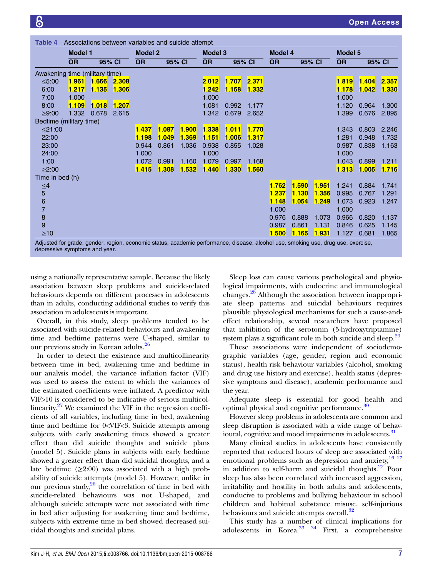<span id="page-6-0"></span>

|                                | <b>Model 1</b> |             |       | <b>Model 2</b>      |       |           | <b>Model 3</b> |       |           | Model 4 |       |           | <b>Model 5</b> |       |              |
|--------------------------------|----------------|-------------|-------|---------------------|-------|-----------|----------------|-------|-----------|---------|-------|-----------|----------------|-------|--------------|
|                                | <b>OR</b>      | 95% CI      |       | <b>OR</b><br>95% CI |       | <b>OR</b> | 95% CI         |       | <b>OR</b> | 95% CI  |       | <b>OR</b> | 95% CI         |       |              |
| Awakening time (military time) |                |             |       |                     |       |           |                |       |           |         |       |           |                |       |              |
| 5:00                           | 1.961          | 1.666 2.308 |       |                     |       |           | 2.012          | 1.707 | 2.371     |         |       |           | 1.819          | 1.404 | 2.357        |
| 6:00                           | 1.217          | 1.135       | 1.306 |                     |       |           | 1.242          | 1.158 | 1.332     |         |       |           | 1.178          | 1.042 | 1.330        |
| 7:00                           | 1.000          |             |       |                     |       |           | 1.000          |       |           |         |       |           | 1.000          |       |              |
| 8:00                           | 1.109          | 1.018       | 1.207 |                     |       |           | 1.081          | 0.992 | 1.177     |         |       |           | 1.120          | 0.964 | 1.300        |
| >9:00                          | 1.332          | 0.678       | 2.615 |                     |       |           | 1.342          | 0.679 | 2.652     |         |       |           | 1.399          | 0.676 | 2.895        |
| Bedtime (military time)        |                |             |       |                     |       |           |                |       |           |         |       |           |                |       |              |
| $<$ 21:00                      |                |             |       | 1.437               | 1.087 | 1.900     | 1.338          | 1.011 | 1.770     |         |       |           | 1.343          | 0.803 | 2.246        |
| 22:00                          |                |             |       | 1.198               | 1.049 | 1.369     | 1.151          | 1.006 | 1.317     |         |       |           | 1.281          | 0.948 | 1.732        |
| 23:00                          |                |             |       | 0.944               | 0.861 | 1.036     | 0.938          | 0.855 | 1.028     |         |       |           | 0.987          | 0.838 | 1.163        |
| 24:00                          |                |             |       | 1.000               |       |           | 1.000          |       |           |         |       |           | 1.000          |       |              |
| 1:00                           |                |             |       | 1.072               | 0.991 | 1.160     | 1.079          | 0.997 | 1.168     |         |       |           | 1.043          | 0.899 | 1.211        |
| $\geq$ 2:00                    |                |             |       | 1.415               | 1.308 | 1.532     | 1.440          | 1.330 | 1.560     |         |       |           | 1.313          | 1.005 | <b>1.716</b> |
| Time in bed (h)                |                |             |       |                     |       |           |                |       |           |         |       |           |                |       |              |
| $\leq4$                        |                |             |       |                     |       |           |                |       |           | 1.762   | 1.590 | 1.951     | 1.241          | 0.884 | 1.741        |
| 5                              |                |             |       |                     |       |           |                |       |           | 1.237   | 1.130 | 1.356     | 0.995          | 0.767 | 1.291        |
| 6                              |                |             |       |                     |       |           |                |       |           | 1.148   | 1.054 | 1.249     | 1.073          | 0.923 | 1.247        |
| $\overline{7}$                 |                |             |       |                     |       |           |                |       |           | 1.000   |       |           | 1.000          |       |              |
| 8                              |                |             |       |                     |       |           |                |       |           | 0.976   | 0.888 | 1.073     | 0.966          | 0.820 | 1.137        |
| 9                              |                |             |       |                     |       |           |                |       |           | 0.987   | 0.861 | 1.131     | 0.846          | 0.625 | 1.145        |
| $\geq 10$                      |                |             |       |                     |       |           |                |       |           | 1.500   | 1.165 | 1.931     | 1.127          | 0.681 | 1.865        |

depressive symptoms and year.

using a nationally representative sample. Because the likely association between sleep problems and suicide-related behaviours depends on different processes in adolescents than in adults, conducting additional studies to verify this association in adolescents is important.

Overall, in this study, sleep problems tended to be associated with suicide-related behaviours and awakening time and bedtime patterns were U-shaped, similar to our previous study in Korean adults.<sup>[26](#page-8-0)</sup>

In order to detect the existence and multicollinearity between time in bed, awakening time and bedtime in our analysis model, the variance inflation factor (VIF) was used to assess the extent to which the variances of the estimated coefficients were inflated. A predictor with VIF>10 is considered to be indicative of serious multicollinearity. $27$  We examined the VIF in the regression coefficients of all variables, including time in bed, awakening time and bedtime for 0<VIF<3. Suicide attempts among subjects with early awakening times showed a greater effect than did suicide thoughts and suicide plans (model 5). Suicide plans in subjects with early bedtime showed a greater effect than did suicidal thoughts, and a late bedtime  $(\geq 2:00)$  was associated with a high probability of suicide attempts (model 5). However, unlike in our previous study, $26$  the correlation of time in bed with suicide-related behaviours was not U-shaped, and although suicide attempts were not associated with time in bed after adjusting for awakening time and bedtime, subjects with extreme time in bed showed decreased suicidal thoughts and suicidal plans.

Sleep loss can cause various psychological and physiological impairments, with endocrine and immunological changes.[28](#page-8-0) Although the association between inappropriate sleep patterns and suicidal behaviours requires plausible physiological mechanisms for such a cause-andeffect relationship, several researchers have proposed that inhibition of the serotonin (5-hydroxytriptamine) system plays a significant role in both suicide and sleep.<sup>[29](#page-8-0)</sup>

These associations were independent of sociodemographic variables (age, gender, region and economic status), health risk behaviour variables (alcohol, smoking and drug use history and exercise), health status (depressive symptoms and disease), academic performance and the year.

Adequate sleep is essential for good health and optimal physical and cognitive performance.<sup>30</sup>

However sleep problems in adolescents are common and sleep disruption is associated with a wide range of behavioural, cognitive and mood impairments in adolescents.<sup>31</sup>

Many clinical studies in adolescents have consistently reported that reduced hours of sleep are associated with emotional problems such as depression and anxiety,  $16\frac{17}{17}$ in addition to self-harm and suicidal thoughts. $^{22}$  $^{22}$  $^{22}$  Poor sleep has also been correlated with increased aggression, irritability and hostility in both adults and adolescents, conducive to problems and bullying behaviour in school children and habitual substance misuse, self-injurious behaviours and suicide attempts overall.<sup>[32](#page-8-0)</sup>

This study has a number of clinical implications for adolescents in Korea. $33334$  First, a comprehensive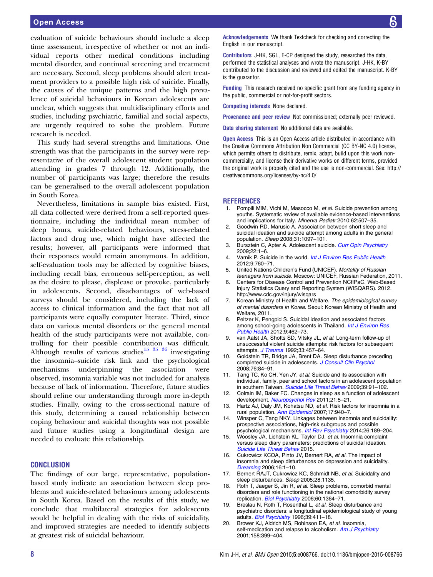<span id="page-7-0"></span>evaluation of suicide behaviours should include a sleep time assessment, irrespective of whether or not an individual reports other medical conditions including mental disorder, and continual screening and treatment are necessary. Second, sleep problems should alert treatment providers to a possible high risk of suicide. Finally, the causes of the unique patterns and the high prevalence of suicidal behaviours in Korean adolescents are unclear, which suggests that multidisciplinary efforts and studies, including psychiatric, familial and social aspects, are urgently required to solve the problem. Future research is needed.

This study had several strengths and limitations. One strength was that the participants in the survey were representative of the overall adolescent student population attending in grades 7 through 12. Additionally, the number of participants was large; therefore the results can be generalised to the overall adolescent population in South Korea.

Nevertheless, limitations in sample bias existed. First, all data collected were derived from a self-reported questionnaire, including the individual mean number of sleep hours, suicide-related behaviours, stress-related factors and drug use, which might have affected the results; however, all participants were informed that their responses would remain anonymous. In addition, self-evaluation tools may be affected by cognitive biases, including recall bias, erroneous self-perception, as well as the desire to please, displease or provoke, particularly in adolescents. Second, disadvantages of web-based surveys should be considered, including the lack of access to clinical information and the fact that not all participants were equally computer literate. Third, since data on various mental disorders or the general mental health of the study participants were not available, controlling for their possible contribution was difficult. Although results of various studies<sup>15 35</sup> <sup>36</sup> investigating the insomnia–suicide risk link and the psychological mechanisms underpinning the association were observed, insomnia variable was not included for analysis because of lack of information. Therefore, future studies should refine our understanding through more in-depth studies. Finally, owing to the cross-sectional nature of this study, determining a causal relationship between coping behaviour and suicidal thoughts was not possible and future studies using a longitudinal design are needed to evaluate this relationship.

#### **CONCLUSION**

The findings of our large, representative, populationbased study indicate an association between sleep problems and suicide-related behaviours among adolescents in South Korea. Based on the results of this study, we conclude that multilateral strategies for adolescents would be helpful in dealing with the risks of suicidality, and improved strategies are needed to identify subjects at greatest risk of suicidal behaviour.

Acknowledgements We thank Textcheck for checking and correcting the English in our manuscript.

Contributors J-HK, SGL, E-CP designed the study, researched the data, performed the statistical analyses and wrote the manuscript. J-HK, K-BY contributed to the discussion and reviewed and edited the manuscript. K-BY is the guarantor.

Funding This research received no specific grant from any funding agency in the public, commercial or not-for-profit sectors.

Competing interests None declared.

Provenance and peer review Not commissioned; externally peer reviewed.

Data sharing statement No additional data are available.

Open Access This is an Open Access article distributed in accordance with the Creative Commons Attribution Non Commercial (CC BY-NC 4.0) license, which permits others to distribute, remix, adapt, build upon this work noncommercially, and license their derivative works on different terms, provided the original work is properly cited and the use is non-commercial. See: [http://](http://creativecommons.org/licenses/by-nc/4.0/) [creativecommons.org/licenses/by-nc/4.0/](http://creativecommons.org/licenses/by-nc/4.0/)

#### REFERENCES

- 1. Pompili MIM, Vichi M, Masocco M, et al. Suicide prevention among youths. Systematic review of available evidence-based interventions and implications for Italy. Minerva Pediatr 2010;62:507–35.
- 2. Goodwin RD, Marusic A. Association between short sleep and suicidal ideation and suicide attempt among adults in the general population. Sleep 2008;31:1097–101.
- 3. Bursztein C, Apter A. Adolescent suicide. [Curr Opin Psychiatry](http://dx.doi.org/10.1097/YCO.0b013e3283155508) 2009;22:1–6.
- 4. Varnik P. Suicide in the world. [Int J Environ Res Public Health](http://dx.doi.org/10.3390/ijerph9030760) 2012;9:760–71.
- 5. United Nations Children's Fund (UNICEF). Mortality of Russian teenagers from suicide. Moscow: UNICEF, Russian Federation, 2011.
- 6. Centers for Disease Control and Prevention NCfIPaC. Web-Based Injury Statistics Query and Reporting System (WISQARS). 2012. <http://www.cdc.gov/injury/wisqars>
- 7. Korean Ministry of Health and Welfare. The epidemiological survey of mental disorders in Korea. Seoul: Korean Ministry of Health and Welfare, 2011.
- 8. Peltzer K, Pengpid S. Suicidal ideation and associated factors among school-going adolescents in Thailand. [Int J Environ Res](http://dx.doi.org/10.3390/ijerph9020462) [Public Health](http://dx.doi.org/10.3390/ijerph9020462) 2012;9:462–73.
- van Aalst JA, Shotts SD, Vitsky JL, et al. Long-term follow-up of unsuccessful violent suicide attempts: risk factors for subsequent attempts. [J Trauma](http://dx.doi.org/10.1097/00005373-199209000-00021) 1992;33:457-64.
- 10. Goldstein TR, Bridge JA, Brent DA. Sleep disturbance preceding completed suicide in adolescents. [J Consult Clin Psychol](http://dx.doi.org/10.1037/0022-006X.76.1.84) 2008;76:84–91.
- 11. Tang TC, Ko CH, Yen JY, et al. Suicide and its association with individual, family, peer and school factors in an adolescent population in southern Taiwan. [Suicide Life Threat Behav](http://dx.doi.org/10.1521/suli.2009.39.1.91) 2009;39:91-102.
- 12. Colrain IM, Baker FC. Changes in sleep as a function of adolescent development. [Neuropsychol Rev](http://dx.doi.org/10.1007/s11065-010-9155-5) 2011;21:5-21.
- 13. Hartz AJ, Daly JM, Kohatsu ND, et al. Risk factors for insomnia in a rural population. [Ann Epidemiol](http://dx.doi.org/10.1016/j.annepidem.2007.07.097) 2007;17:940–7.
- 14. Winsper C, Tang NKY. Linkages between insomnia and suicidality: prospective associations, high-risk subgroups and possible psychological mechanisms. [Int Rev Psychiatry](http://dx.doi.org/10.3109/09540261.2014.881330) 2014;26:189-204.
- 15. Woosley JA, Lichstein KL, Taylor DJ, et al. Insomnia complaint versus sleep diary parameters: predictions of suicidal ideation. [Suicide Life Threat Behav](http://dx.doi.org/10.1111/sltb.12173) 2015.
- 16. Cukrowicz KCOA, Pinto JV, Bernert RA, et al. The impact of insomnia and sleep disturbances on depression and suicidality. [Dreaming](http://dx.doi.org/10.1037/1053-0797.16.1.1) 2006;16:1–10.
- 17. Bernert RAJT, Cukrowicz KC, Schmidt NB, et al. Suicidality and sleep disturbances. Sleep 2005;28:1135.
- 18. Roth T, Jaeger S, Jin R, et al. Sleep problems, comorbid mental disorders and role functioning in the national comorbidity survey replication. [Biol Psychiatry](http://dx.doi.org/10.1016/j.biopsych.2006.05.039) 2006;60:1364-71.
- 19. Breslau N, Roth T, Rosenthal L, et al. Sleep disturbance and psychiatric disorders: a longitudinal epidemiological study of young adults. [Biol Psychiatry](http://dx.doi.org/10.1016/0006-3223(95)00188-3) 1996;39:411-18.
- 20. Brower KJ, Aldrich MS, Robinson EA, et al. Insomnia, self-medication and relapse to alcoholism. [Am J Psychiatry](http://dx.doi.org/10.1176/appi.ajp.158.3.399) 2001;158:399–404.